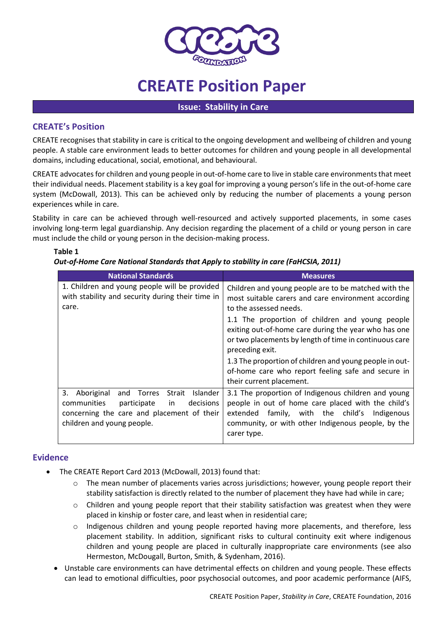

# **CREATE Position Paper**

#### **Issue: Stability in Care**

### **CREATE's Position**

CREATE recognises that stability in care is critical to the ongoing development and wellbeing of children and young people. A stable care environment leads to better outcomes for children and young people in all developmental domains, including educational, social, emotional, and behavioural.

CREATE advocates for children and young people in out-of-home care to live in stable care environments that meet their individual needs. Placement stability is a key goal for improving a young person's life in the out-of-home care system (McDowall, 2013). This can be achieved only by reducing the number of placements a young person experiences while in care.

Stability in care can be achieved through well-resourced and actively supported placements, in some cases involving long-term legal guardianship. Any decision regarding the placement of a child or young person in care must include the child or young person in the decision-making process.

| Out-of-Home Care National Standards that Apply to stability in care (FaHCSIA, 2011)                                                                                                       |                                                                                                                                                                                                                                      |
|-------------------------------------------------------------------------------------------------------------------------------------------------------------------------------------------|--------------------------------------------------------------------------------------------------------------------------------------------------------------------------------------------------------------------------------------|
| <b>National Standards</b>                                                                                                                                                                 | <b>Measures</b>                                                                                                                                                                                                                      |
| 1. Children and young people will be provided<br>with stability and security during their time in<br>care.                                                                                | Children and young people are to be matched with the<br>most suitable carers and care environment according<br>to the assessed needs.                                                                                                |
|                                                                                                                                                                                           | 1.1 The proportion of children and young people<br>exiting out-of-home care during the year who has one<br>or two placements by length of time in continuous care<br>preceding exit.                                                 |
|                                                                                                                                                                                           | 1.3 The proportion of children and young people in out-<br>of-home care who report feeling safe and secure in<br>their current placement.                                                                                            |
| Aboriginal<br>and Torres<br>Strait<br><b>Islander</b><br>3.<br>decisions<br>communities<br>participate<br>in.<br>concerning the care and placement of their<br>children and young people. | 3.1 The proportion of Indigenous children and young<br>people in out of home care placed with the child's<br>family, with the child's<br>extended<br>Indigenous<br>community, or with other Indigenous people, by the<br>carer type. |

## **Table 1**

## *Out-of-Home Care National Standards that Apply to stability in care (FaHCSIA, 2011)*

## **Evidence**

- The CREATE Report Card 2013 (McDowall, 2013) found that:
	- o The mean number of placements varies across jurisdictions; however, young people report their stability satisfaction is directly related to the number of placement they have had while in care;
	- $\circ$  Children and young people report that their stability satisfaction was greatest when they were placed in kinship or foster care, and least when in residential care;
	- o Indigenous children and young people reported having more placements, and therefore, less placement stability. In addition, significant risks to cultural continuity exit where indigenous children and young people are placed in culturally inappropriate care environments (see also Hermeston, McDougall, Burton, Smith, & Sydenham, 2016).
	- Unstable care environments can have detrimental effects on children and young people. These effects can lead to emotional difficulties, poor psychosocial outcomes, and poor academic performance (AIFS,